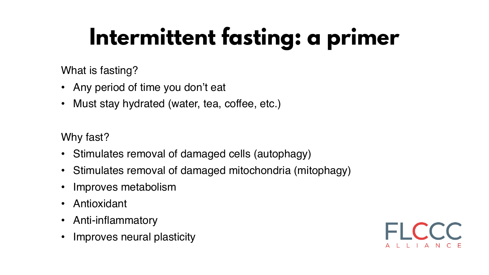## Intermittent fasting: a primer

- Any period of time you don't eat
- Must stay hydrated (water, tea, coffee, etc.)

What is fasting?

Why fast?

- Stimulates removal of damaged cells (autophagy)
- Stimulates removal of damaged mitochondria (mitophagy)
- Improves metabolism
- Antioxidant
- Anti-inflammatory
- Improves neural plasticity

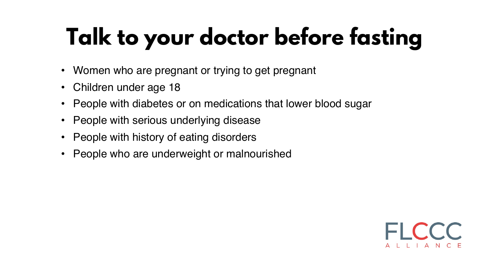# Talk to your doctor before fasting

- Women who are pregnant or trying to get pregnant
- Children under age 18
- People with diabetes or on medications that lower blood sugar
- People with serious underlying disease
- People with history of eating disorders
- People who are underweight or malnourished

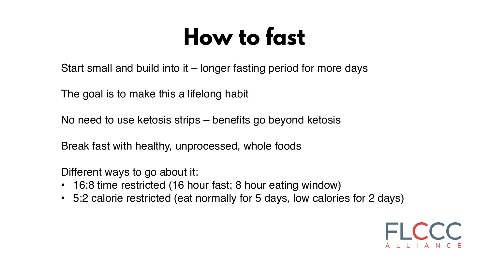### How to fast

Start small and build into it – longer fasting period for more days

The goal is to make this a lifelong habit

No need to use ketosis strips – benefits go beyond ketosis

Break fast with healthy, unprocessed, whole foods

Different ways to go about it:

- 16:8 time restricted (16 hour fast; 8 hour eating window)
- 5:2 calorie restricted (eat normally for 5 days, low calories for 2 days)

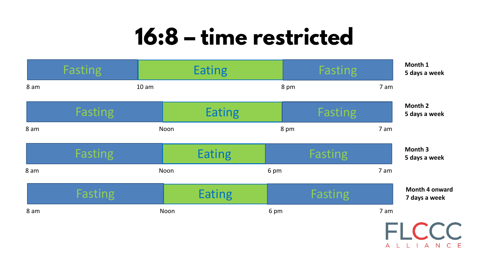### 16:8 – time restricted

**5 days a week**

|      | Fasting        |                  | <b>Eating</b> |      | Fasting        |      |
|------|----------------|------------------|---------------|------|----------------|------|
| 8 am |                | 10 <sub>am</sub> |               | 8 pm |                | 7 am |
|      | <b>Fasting</b> |                  | <b>Eating</b> |      | <b>Fasting</b> |      |
| 8 am |                | Noon             |               | 8 pm |                | 7 am |
|      | Fasting        |                  | <b>Eating</b> |      | Fasting        |      |
| 8 am |                | Noon             |               | 6 pm |                | 7 am |
|      | <b>Fasting</b> |                  | <b>Eating</b> |      | <b>Fasting</b> |      |
| 8 am |                | Noon             |               | 6 pm |                | 7 am |



**5 days a week**



**5 days a week**

**7 days a week**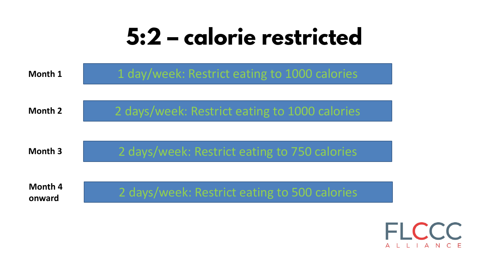### 5:2 – calorie restricted

| <b>Month 1</b>           | 1 day/week: Restrict eating to 100  |
|--------------------------|-------------------------------------|
| <b>Month 2</b>           | 2 days/week: Restrict eating to 100 |
| <b>Month 3</b>           | 2 days/week: Restrict eating to 750 |
| <b>Month 4</b><br>onward | 2 days/week: Restrict eating to 50  |

#### 0 calories

#### **0 calories**

### 0 calories

#### 0 calories